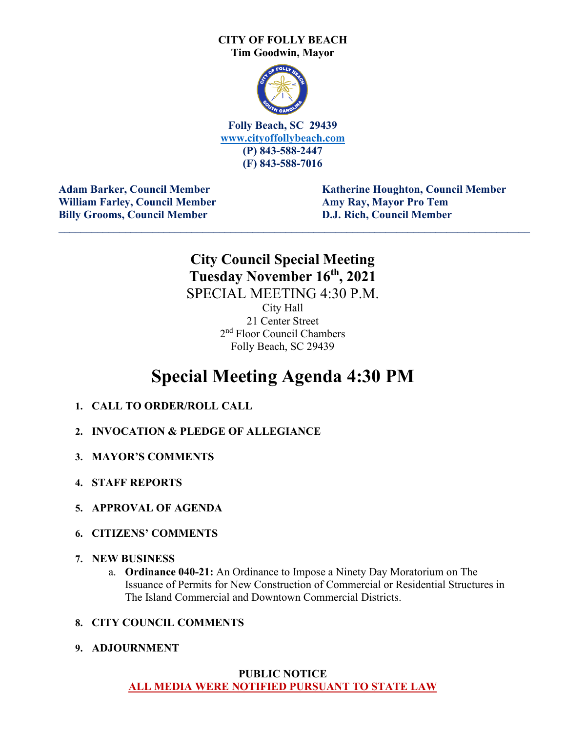#### **CITY OF FOLLY BEACH Tim Goodwin, Mayor**



**Folly Beach, SC 29439 [www.cityoffollybeach.com](http://www.cityoffollybeach.com/) (P) 843-588-2447 (F) 843-588-7016**

William Farley, Council Member **Amy Ray, Mayor Pro Tem Billy Grooms, Council Member D.J. Rich, Council Member**

**Adam Barker, Council Member Theory Adam Barker, Council Member** 

### **City Council Special Meeting Tuesday November 16th, 2021** SPECIAL MEETING 4:30 P.M.

**\_\_\_\_\_\_\_\_\_\_\_\_\_\_\_\_\_\_\_\_\_\_\_\_\_\_\_\_\_\_\_\_\_\_\_\_\_\_\_\_\_\_\_\_\_\_\_\_\_\_\_\_\_\_\_\_\_\_\_\_\_\_\_\_\_\_\_\_\_\_\_\_\_\_\_\_\_\_\_\_\_\_\_\_\_**

City Hall 21 Center Street 2nd Floor Council Chambers Folly Beach, SC 29439

### **Special Meeting Agenda 4:30 PM**

- **1. CALL TO ORDER/ROLL CALL**
- **2. INVOCATION & PLEDGE OF ALLEGIANCE**
- **3. MAYOR'S COMMENTS**
- **4. STAFF REPORTS**
- **5. APPROVAL OF AGENDA**
- **6. CITIZENS' COMMENTS**
- **7. NEW BUSINESS** 
	- a. **Ordinance 040-21:** An Ordinance to Impose a Ninety Day Moratorium on The Issuance of Permits for New Construction of Commercial or Residential Structures in The Island Commercial and Downtown Commercial Districts.

#### **8. CITY COUNCIL COMMENTS**

**9. ADJOURNMENT**

#### **PUBLIC NOTICE ALL MEDIA WERE NOTIFIED PURSUANT TO STATE LAW**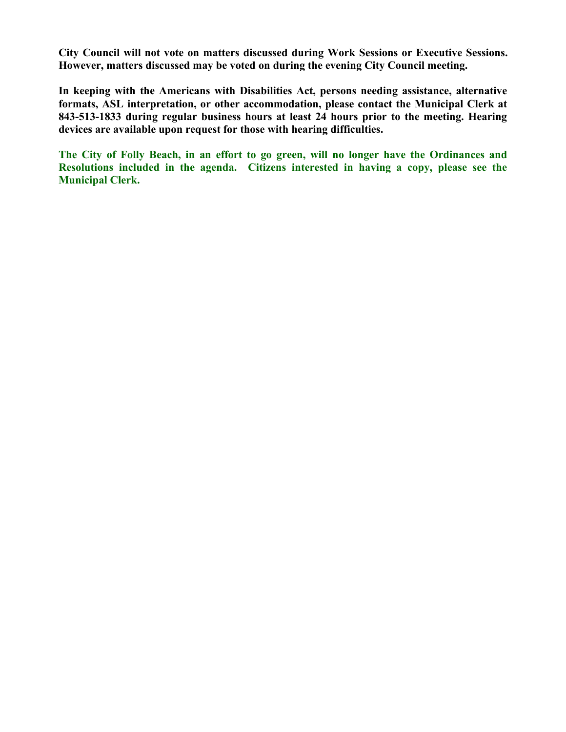**City Council will not vote on matters discussed during Work Sessions or Executive Sessions. However, matters discussed may be voted on during the evening City Council meeting.** 

**In keeping with the Americans with Disabilities Act, persons needing assistance, alternative formats, ASL interpretation, or other accommodation, please contact the Municipal Clerk at 843-513-1833 during regular business hours at least 24 hours prior to the meeting. Hearing devices are available upon request for those with hearing difficulties.**

**The City of Folly Beach, in an effort to go green, will no longer have the Ordinances and Resolutions included in the agenda. Citizens interested in having a copy, please see the Municipal Clerk.**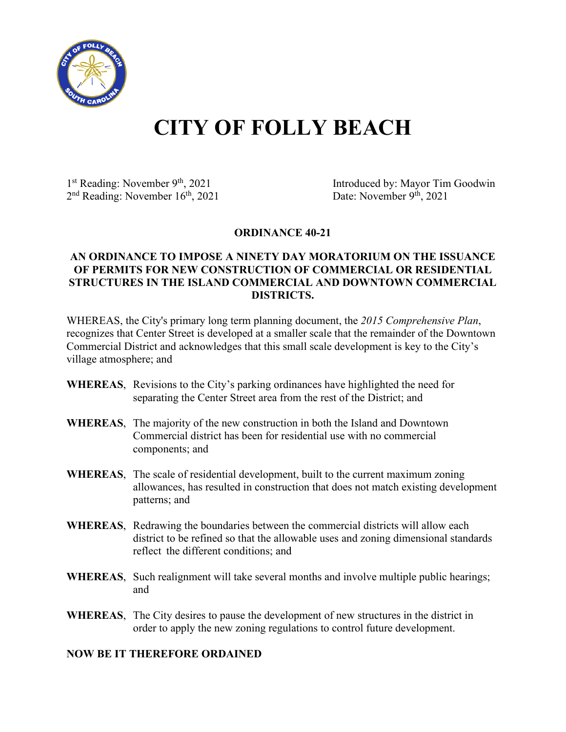

# **CITY OF FOLLY BEACH**

 $2<sup>nd</sup>$  Reading: November  $16<sup>th</sup>$ , 2021

1<sup>st</sup> Reading: November 9<sup>th</sup>, 2021 Introduced by: Mayor Tim Goodwin<br>
2<sup>nd</sup> Reading: November 16<sup>th</sup>, 2021 Date: November 9<sup>th</sup>, 2021

**ORDINANCE 40-21**

#### **AN ORDINANCE TO IMPOSE A NINETY DAY MORATORIUM ON THE ISSUANCE OF PERMITS FOR NEW CONSTRUCTION OF COMMERCIAL OR RESIDENTIAL STRUCTURES IN THE ISLAND COMMERCIAL AND DOWNTOWN COMMERCIAL DISTRICTS.**

WHEREAS, the City's primary long term planning document, the *2015 Comprehensive Plan*, recognizes that Center Street is developed at a smaller scale that the remainder of the Downtown Commercial District and acknowledges that this small scale development is key to the City's village atmosphere; and

- **WHEREAS**, Revisions to the City's parking ordinances have highlighted the need for separating the Center Street area from the rest of the District; and
- **WHEREAS**, The majority of the new construction in both the Island and Downtown Commercial district has been for residential use with no commercial components; and
- **WHEREAS**, The scale of residential development, built to the current maximum zoning allowances, has resulted in construction that does not match existing development patterns; and
- **WHEREAS**, Redrawing the boundaries between the commercial districts will allow each district to be refined so that the allowable uses and zoning dimensional standards reflect the different conditions; and
- **WHEREAS**, Such realignment will take several months and involve multiple public hearings; and
- **WHEREAS**, The City desires to pause the development of new structures in the district in order to apply the new zoning regulations to control future development.

#### **NOW BE IT THEREFORE ORDAINED**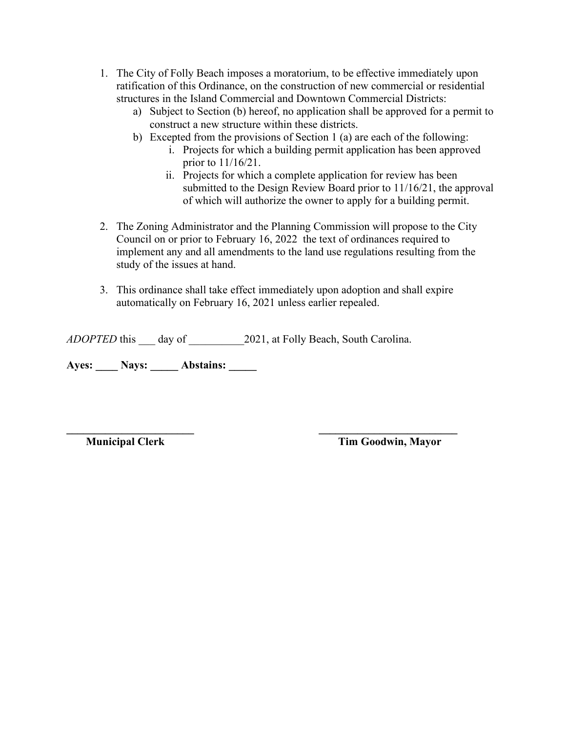- 1. The City of Folly Beach imposes a moratorium, to be effective immediately upon ratification of this Ordinance, on the construction of new commercial or residential structures in the Island Commercial and Downtown Commercial Districts:
	- a) Subject to Section (b) hereof, no application shall be approved for a permit to construct a new structure within these districts.
	- b) Excepted from the provisions of Section 1 (a) are each of the following:
		- i. Projects for which a building permit application has been approved prior to 11/16/21.
		- ii. Projects for which a complete application for review has been submitted to the Design Review Board prior to 11/16/21, the approval of which will authorize the owner to apply for a building permit.
- 2. The Zoning Administrator and the Planning Commission will propose to the City Council on or prior to February 16, 2022 the text of ordinances required to implement any and all amendments to the land use regulations resulting from the study of the issues at hand.
- 3. This ordinance shall take effect immediately upon adoption and shall expire automatically on February 16, 2021 unless earlier repealed.

*ADOPTED* this day of 2021, at Folly Beach, South Carolina.

Ayes: \_\_\_\_\_ Nays: \_\_\_\_\_ Abstains: \_\_\_\_\_

**\_\_\_\_\_\_\_\_\_\_\_\_\_\_\_\_\_\_\_\_\_\_\_ \_\_\_\_\_\_\_\_\_\_\_\_\_\_\_\_\_\_\_\_\_\_\_\_\_**

**Municipal Clerk Tim Goodwin, Mayor**